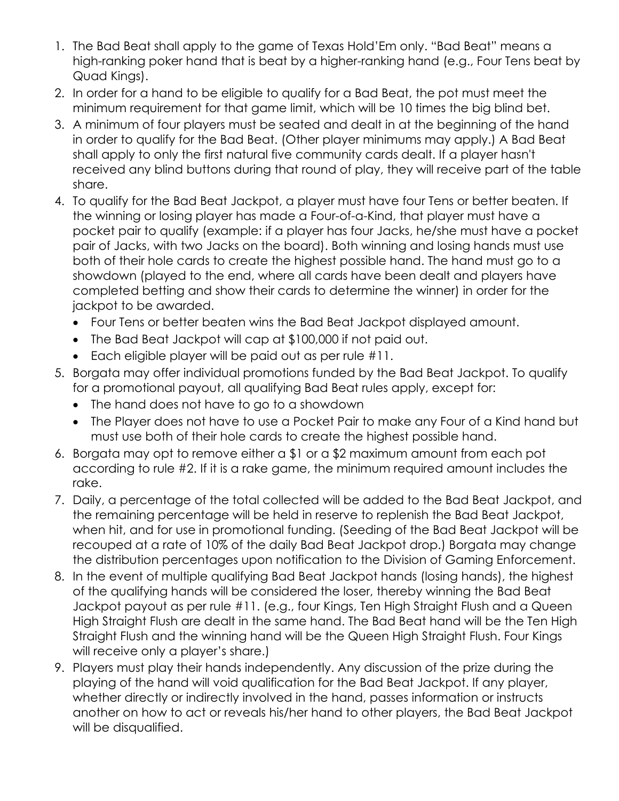- 1. The Bad Beat shall apply to the game of Texas Hold'Em only. "Bad Beat" means a high-ranking poker hand that is beat by a higher-ranking hand (e.g., Four Tens beat by Quad Kings).
- 2. In order for a hand to be eligible to qualify for a Bad Beat, the pot must meet the minimum requirement for that game limit, which will be 10 times the big blind bet.
- 3. A minimum of four players must be seated and dealt in at the beginning of the hand in order to qualify for the Bad Beat. (Other player minimums may apply.) A Bad Beat shall apply to only the first natural five community cards dealt. If a player hasn't received any blind buttons during that round of play, they will receive part of the table share.
- 4. To qualify for the Bad Beat Jackpot, a player must have four Tens or better beaten. If the winning or losing player has made a Four-of-a-Kind, that player must have a pocket pair to qualify (example: if a player has four Jacks, he/she must have a pocket pair of Jacks, with two Jacks on the board). Both winning and losing hands must use both of their hole cards to create the highest possible hand. The hand must go to a showdown (played to the end, where all cards have been dealt and players have completed betting and show their cards to determine the winner) in order for the jackpot to be awarded.
	- Four Tens or better beaten wins the Bad Beat Jackpot displayed amount.
	- The Bad Beat Jackpot will cap at \$100,000 if not paid out.
	- Each eligible player will be paid out as per rule #11.
- 5. Borgata may offer individual promotions funded by the Bad Beat Jackpot. To qualify for a promotional payout, all qualifying Bad Beat rules apply, except for:
	- The hand does not have to go to a showdown
	- The Player does not have to use a Pocket Pair to make any Four of a Kind hand but must use both of their hole cards to create the highest possible hand.
- 6. Borgata may opt to remove either a \$1 or a \$2 maximum amount from each pot according to rule #2. If it is a rake game, the minimum required amount includes the rake.
- 7. Daily, a percentage of the total collected will be added to the Bad Beat Jackpot, and the remaining percentage will be held in reserve to replenish the Bad Beat Jackpot, when hit, and for use in promotional funding. (Seeding of the Bad Beat Jackpot will be recouped at a rate of 10% of the daily Bad Beat Jackpot drop.) Borgata may change the distribution percentages upon notification to the Division of Gaming Enforcement.
- 8. In the event of multiple qualifying Bad Beat Jackpot hands (losing hands), the highest of the qualifying hands will be considered the loser, thereby winning the Bad Beat Jackpot payout as per rule #11. (e.g., four Kings, Ten High Straight Flush and a Queen High Straight Flush are dealt in the same hand. The Bad Beat hand will be the Ten High Straight Flush and the winning hand will be the Queen High Straight Flush. Four Kings will receive only a player's share.)
- 9. Players must play their hands independently. Any discussion of the prize during the playing of the hand will void qualification for the Bad Beat Jackpot. If any player, whether directly or indirectly involved in the hand, passes information or instructs another on how to act or reveals his/her hand to other players, the Bad Beat Jackpot will be disqualified.